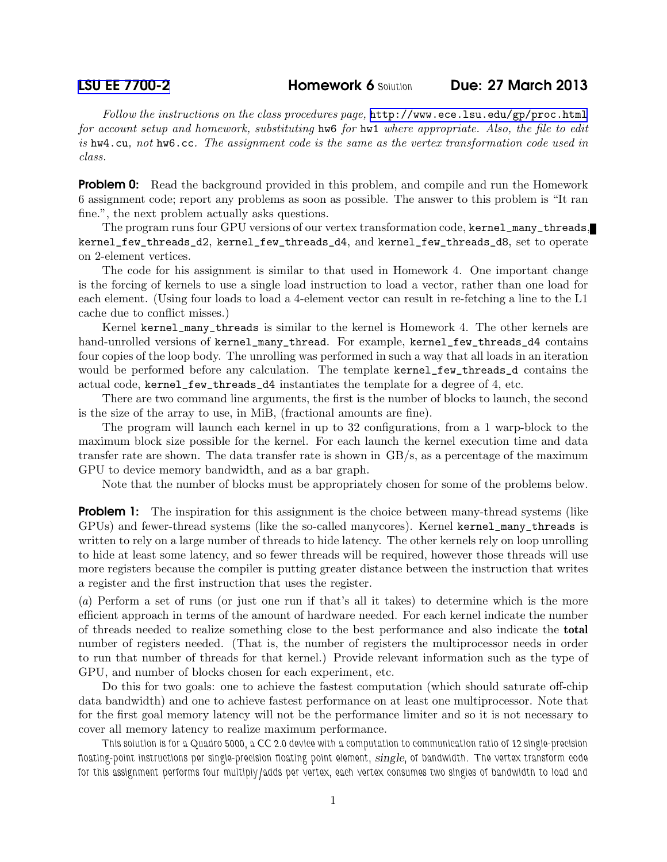Follow the instructions on the class procedures page, <http://www.ece.lsu.edu/gp/proc.html> for account setup and homework, substituting hw6 for hw1 where appropriate. Also, the file to edit is hw4.cu, not hw6.cc. The assignment code is the same as the vertex transformation code used in class.

**Problem 0:** Read the background provided in this problem, and compile and run the Homework 6 assignment code; report any problems as soon as possible. The answer to this problem is "It ran fine.", the next problem actually asks questions.

The program runs four GPU versions of our vertex transformation code, kernel\_many\_threads, kernel\_few\_threads\_d2, kernel\_few\_threads\_d4, and kernel\_few\_threads\_d8, set to operate on 2-element vertices.

The code for his assignment is similar to that used in Homework 4. One important change is the forcing of kernels to use a single load instruction to load a vector, rather than one load for each element. (Using four loads to load a 4-element vector can result in re-fetching a line to the L1 cache due to conflict misses.)

Kernel kernel\_many\_threads is similar to the kernel is Homework 4. The other kernels are hand-unrolled versions of kernel\_many\_thread. For example, kernel\_few\_threads\_d4 contains four copies of the loop body. The unrolling was performed in such a way that all loads in an iteration would be performed before any calculation. The template kernel\_few\_threads\_d contains the actual code, kernel\_few\_threads\_d4 instantiates the template for a degree of 4, etc.

There are two command line arguments, the first is the number of blocks to launch, the second is the size of the array to use, in MiB, (fractional amounts are fine).

The program will launch each kernel in up to 32 configurations, from a 1 warp-block to the maximum block size possible for the kernel. For each launch the kernel execution time and data transfer rate are shown. The data transfer rate is shown in GB/s, as a percentage of the maximum GPU to device memory bandwidth, and as a bar graph.

Note that the number of blocks must be appropriately chosen for some of the problems below.

**Problem 1:** The inspiration for this assignment is the choice between many-thread systems (like GPUs) and fewer-thread systems (like the so-called manycores). Kernel kernel\_many\_threads is written to rely on a large number of threads to hide latency. The other kernels rely on loop unrolling to hide at least some latency, and so fewer threads will be required, however those threads will use more registers because the compiler is putting greater distance between the instruction that writes a register and the first instruction that uses the register.

(a) Perform a set of runs (or just one run if that's all it takes) to determine which is the more efficient approach in terms of the amount of hardware needed. For each kernel indicate the number of threads needed to realize something close to the best performance and also indicate the total number of registers needed. (That is, the number of registers the multiprocessor needs in order to run that number of threads for that kernel.) Provide relevant information such as the type of GPU, and number of blocks chosen for each experiment, etc.

Do this for two goals: one to achieve the fastest computation (which should saturate off-chip data bandwidth) and one to achieve fastest performance on at least one multiprocessor. Note that for the first goal memory latency will not be the performance limiter and so it is not necessary to cover all memory latency to realize maximum performance.

This solution is for a Quadro 5000, a CC 2.0 device with a computation to communication ratio of 12 single-precision floating-point instructions per single-precision floating point element, single, of bandwidth. The vertex transform code for this assignment performs four multiply/adds per vertex, each vertex consumes two singles of bandwidth to load and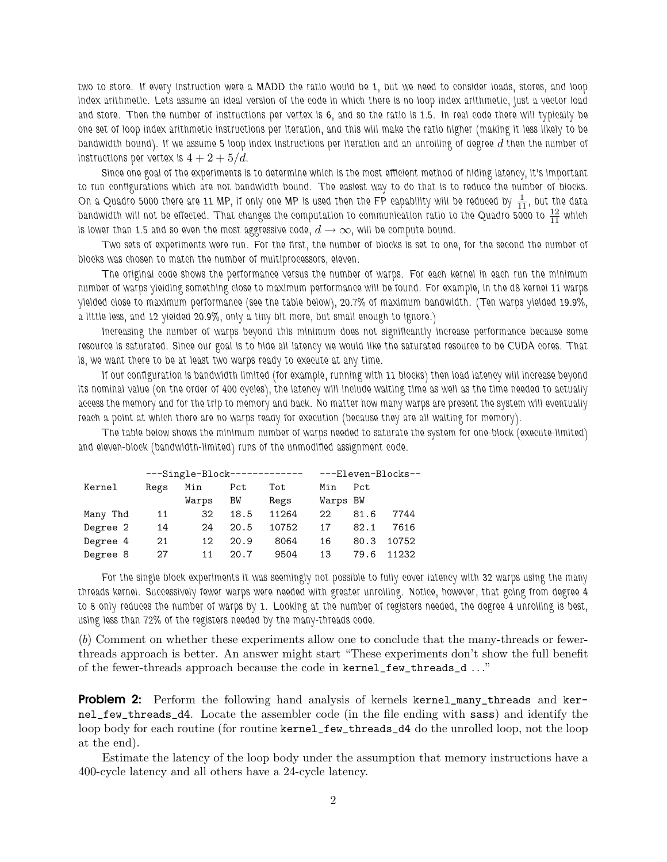two to store. If every instruction were a MADD the ratio would be 1, but we need to consider loads, stores, and loop index arithmetic. Lets assume an ideal version of the code in which there is no loop index arithmetic, just a vector load and store. Then the number of instructions per vertex is 6, and so the ratio is 1.5. In real code there will typically be one set of loop index arithmetic instructions per iteration, and this will make the ratio higher (making it less likely to be bandwidth bound). If we assume 5 loop index instructions per iteration and an unrolling of degree  $d$  then the number of instructions per vertex is  $4+2+5/d$ .

Since one goal of the experiments is to determine which is the most efficient method of hiding latency, it's important to run configurations which are not bandwidth bound. The easiest way to do that is to reduce the number of blocks. On a Quadro 5000 there are 11 MP, if only one MP is used then the FP capability will be reduced by  $\frac{1}{11}$ , but the data bandwidth will not be effected. That changes the computation to communication ratio to the Quadro 5000 to  $\frac{12}{11}$  which is lower than 1.5 and so even the most aggressive code,  $d \to \infty$ , will be compute bound.

Two sets of experiments were run. For the first, the number of blocks is set to one, for the second the number of blocks was chosen to match the number of multiprocessors, eleven.

The original code shows the performance versus the number of warps. For each kernel in each run the minimum number of warps yielding something close to maximum performance will be found. For example, in the d8 kernel 11 warps yielded close to maximum performance (see the table below), 20.7% of maximum bandwidth. (Ten warps yielded 19.9%, a little less, and 12 yielded 20.9%, only a tiny bit more, but small enough to ignore.)

Increasing the number of warps beyond this minimum does not significantly increase performance because some resource is saturated. Since our goal is to hide all latency we would like the saturated resource to be CUDA cores. That is, we want there to be at least two warps ready to execute at any time.

If our configuration is bandwidth limited (for example, running with 11 blocks) then load latency will increase beyond its nominal value (on the order of 400 cycles), the latency will include waiting time as well as the time needed to actually access the memory and for the trip to memory and back. No matter how many warps are present the system will eventually reach a point at which there are no warps ready for execution (because they are all waiting for memory).

The table below shows the minimum number of warps needed to saturate the system for one-block (execute-limited) and eleven-block (bandwidth-limited) runs of the unmodified assignment code.

|          |      | $---Single-Block-----$ | ---Eleven-Blocks-- |       |          |      |       |
|----------|------|------------------------|--------------------|-------|----------|------|-------|
| Kernel   | Regs | Min                    | Pct                | Tot   | Min      | Pct  |       |
|          |      | Warps                  | ΒW                 | Regs  | Warps BW |      |       |
| Many Thd | 11   | 32                     | 18.5               | 11264 | 22       | 81.6 | 7744  |
| Degree 2 | 14   | 24                     | 20.5               | 10752 | 17       | 82.1 | 7616  |
| Degree 4 | 21   | 12                     | 20.9               | 8064  | 16       | 80.3 | 10752 |
| Degree 8 | 27   | 11                     | 20.7               | 9504  | 13       | 79.6 | 11232 |

For the single block experiments it was seemingly not possible to fully cover latency with 32 warps using the many threads kernel. Successively fewer warps were needed with greater unrolling. Notice, however, that going from degree 4 to 8 only reduces the number of warps by 1. Looking at the number of registers needed, the degree 4 unrolling is best, using less than 72% of the registers needed by the many-threads code.

(b) Comment on whether these experiments allow one to conclude that the many-threads or fewerthreads approach is better. An answer might start "These experiments don't show the full benefit of the fewer-threads approach because the code in kernel\_few\_threads\_d . . ."

**Problem 2:** Perform the following hand analysis of kernels kernel\_many\_threads and kernel\_few\_threads\_d4. Locate the assembler code (in the file ending with sass) and identify the loop body for each routine (for routine kernel\_few\_threads\_d4 do the unrolled loop, not the loop at the end).

Estimate the latency of the loop body under the assumption that memory instructions have a 400-cycle latency and all others have a 24-cycle latency.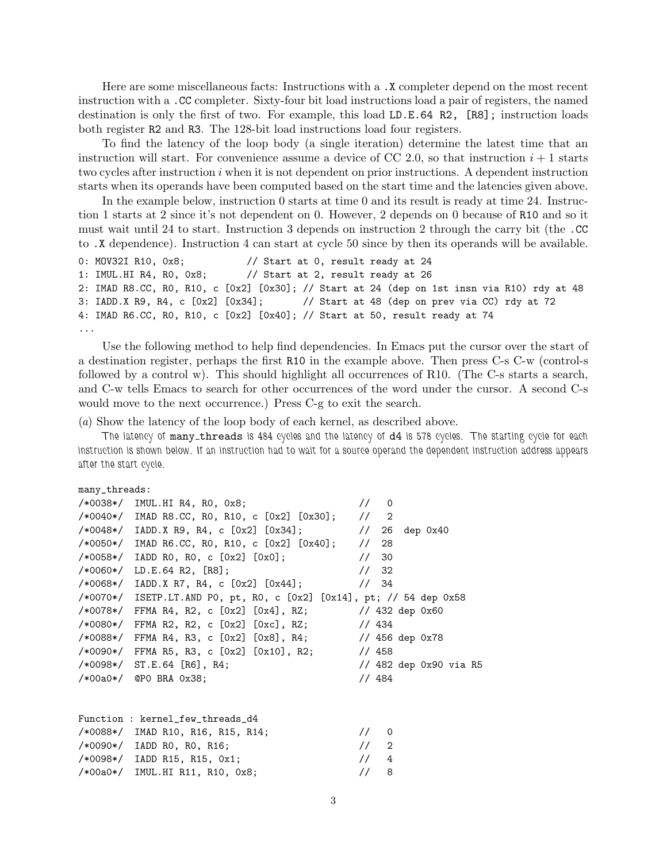Here are some miscellaneous facts: Instructions with a .X completer depend on the most recent instruction with a .CC completer. Sixty-four bit load instructions load a pair of registers, the named destination is only the first of two. For example, this load LD.E.64 R2, [R8]; instruction loads both register R2 and R3. The 128-bit load instructions load four registers.

To find the latency of the loop body (a single iteration) determine the latest time that an instruction will start. For convenience assume a device of CC 2.0, so that instruction  $i + 1$  starts two cycles after instruction  $i$  when it is not dependent on prior instructions. A dependent instruction starts when its operands have been computed based on the start time and the latencies given above.

In the example below, instruction 0 starts at time 0 and its result is ready at time 24. Instruction 1 starts at 2 since it's not dependent on 0. However, 2 depends on 0 because of R10 and so it must wait until 24 to start. Instruction 3 depends on instruction 2 through the carry bit (the .CC to .X dependence). Instruction 4 can start at cycle 50 since by then its operands will be available.

```
0: MOV32I R10, 0x8; // Start at 0, result ready at 24
1: IMUL.HI R4, R0, 0x8; // Start at 2, result ready at 26
2: IMAD R8.CC, R0, R10, c [0x2] [0x30]; // Start at 24 (dep on 1st insn via R10) rdy at 48
3: IADD.X R9, R4, c [0x2] [0x34]; // Start at 48 (dep on prev via CC) rdy at 72
4: IMAD R6.CC, R0, R10, c [0x2] [0x40]; // Start at 50, result ready at 74
...
```
Use the following method to help find dependencies. In Emacs put the cursor over the start of a destination register, perhaps the first R10 in the example above. Then press C-s C-w (control-s followed by a control w). This should highlight all occurrences of R10. (The C-s starts a search, and C-w tells Emacs to search for other occurrences of the word under the cursor. A second C-s would move to the next occurrence.) Press C-g to exit the search.

(a) Show the latency of the loop body of each kernel, as described above.

The latency of many\_threads is 484 cycles and the latency of d4 is 578 cycles. The starting cycle for each instruction is shown below. If an instruction had to wait for a source operand the dependent instruction address appears after the start cycle.

```
many_threads:
```

| $/*0038*/$ IMUL.HI R4, R0, 0x8;                                      | $\frac{1}{10}$ 0 |                                 |  |
|----------------------------------------------------------------------|------------------|---------------------------------|--|
| $/*0040*/$ IMAD R8.CC, R0, R10, c $[0x2]$ $[0x30]$ ; // 2            |                  |                                 |  |
| /*0048*/ IADD.X R9, R4, c [0x2] [0x34];                              |                  | $\frac{1}{26}$ dep 0x40         |  |
| /*0050*/ IMAD R6.CC, R0, R10, c [0x2] [0x40];                        | 1/28             |                                 |  |
| $/*0058*/$ IADD RO, RO, c $[0x2]$ $[0x0]$ ;                          | 1/30             |                                 |  |
| $/*0060*/$ LD.E.64 R2, [R8];                                         | 1/32             |                                 |  |
| /*0068*/ IADD.X R7, R4, c [0x2] [0x44];                              | 1/34             |                                 |  |
| /*0070*/ ISETP.LT.AND PO, pt, RO, c [0x2] [0x14], pt; // 54 dep 0x58 |                  |                                 |  |
| /*0078*/ FFMA R4, R2, c[0x2][0x4],RZ;                                |                  | $\frac{1}{432}$ dep 0x60        |  |
| /*0080*/ FFMA R2, R2, c [0x2] [0xc], RZ;                             | 1/434            |                                 |  |
| $/*0088*/$ FFMA R4, R3, c [0x2] [0x8], R4; // 456 dep 0x78           |                  |                                 |  |
| /*0090*/ FFMA R5, R3, c [0x2] [0x10], R2;                            | 1/458            |                                 |  |
| $/*0098*/$ ST.E.64 [R6], R4;                                         |                  | $\frac{1}{482}$ dep 0x90 via R5 |  |
| $/*00a0*/$ @PO BRA $0x38$ ;                                          | 1/484            |                                 |  |
|                                                                      |                  |                                 |  |

| Function : kernel_few_threads_d4    |                  |  |
|-------------------------------------|------------------|--|
| $/*0088*/$ IMAD R10, R16, R15, R14; | $\frac{1}{10}$ 0 |  |
| $/*0090*/$ IADD RO, RO, R16;        | $\frac{1}{2}$    |  |
| $/*0098*/$ IADD R15, R15, 0x1;      | 1/4              |  |
| $/*00a0*/$ IMUL.HI R11, R10, 0x8;   | $\frac{1}{8}$    |  |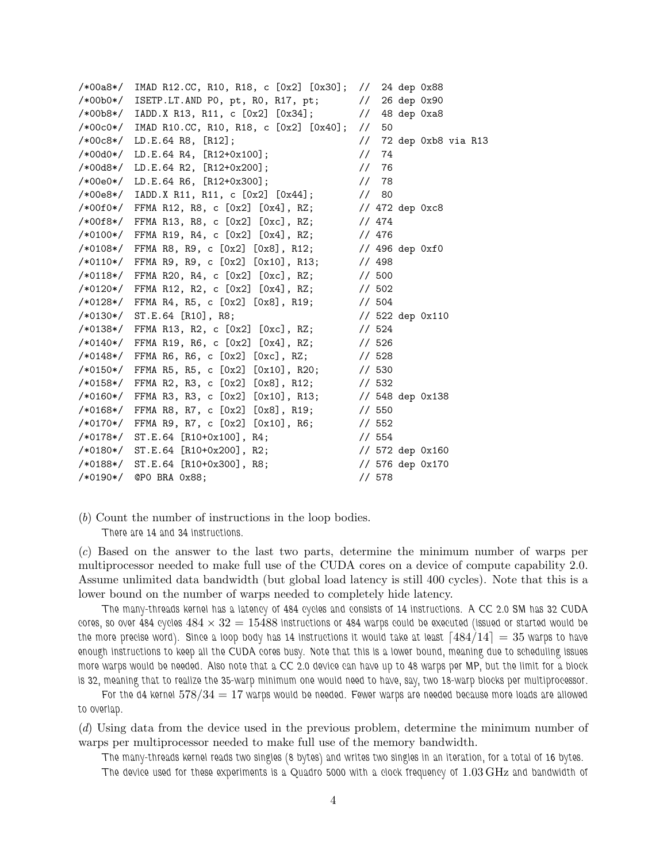|          | /*00a8*/ IMAD R12.CC, R10, R18, c [0x2] [0x30]; // 24 dep 0x88 |        |                                   |  |
|----------|----------------------------------------------------------------|--------|-----------------------------------|--|
|          | $/*00b0*/$ ISETP.LT.AND PO, pt, RO, R17, pt; // 26 dep 0x90    |        |                                   |  |
|          | /*00b8*/ IADD.X R13, R11, c [0x2] [0x34]; // 48 dep 0xa8       |        |                                   |  |
|          | /*00c0*/ IMAD R10.CC, R10, R18, c [0x2] [0x40]; //             | 50     |                                   |  |
|          | $/*00c8*/$ LD.E.64 R8, [R12];                                  |        | $\frac{1}{2}$ 72 dep 0xb8 via R13 |  |
|          | $/*00d0*/$ LD.E.64 R4, [R12+0x100];                            | 1/74   |                                   |  |
|          | $/*00d8*/$ LD.E.64 R2, $[R12+0x200]$ ;                         | 1/76   |                                   |  |
|          | $/*00e0*/$ LD.E.64 R6, [R12+0x300];                            | 1/78   |                                   |  |
|          | /*00e8*/ IADD.X R11, R11, c [0x2] [0x44];                      | 1/80   |                                   |  |
|          | $/*00f0*/$ FFMA R12, R8, c [0x2] [0x4], RZ; // 472 dep 0xc8    |        |                                   |  |
|          | /*00f8*/ FFMA R13, R8, c [0x2] [0xc], RZ;                      | 1/474  |                                   |  |
|          | /*0100*/ FFMA R19, R4, c[0x2][0x4],RZ;                         | // 476 |                                   |  |
|          | /*0108*/ FFMA R8, R9, c $[0x2]$ $[0x8]$ , R12; // 496 dep 0xf0 |        |                                   |  |
|          | /*0110*/ FFMA R9, R9, c $[0x2]$ $[0x10]$ , R13; // 498         |        |                                   |  |
|          | /*0118*/ FFMA R20, R4, c[0x2][0xc],RZ;                         | 1/500  |                                   |  |
|          | /*0120*/ FFMA R12, R2, c[0x2][0x4],RZ;                         | 1/502  |                                   |  |
|          | /*0128*/ FFMA R4, R5, c [0x2] [0x8], R19;                      | 1/504  |                                   |  |
|          | $/*0130*/$ ST.E.64 [R10], R8;                                  |        | $1/$ 522 dep 0x110                |  |
|          | /*0138*/ FFMA R13, R2, c [0x2] [0xc], RZ;                      | 1/524  |                                   |  |
|          | /*0140*/ FFMA R19, R6, c [0x2] [0x4], RZ;                      | 1/526  |                                   |  |
|          | /*0148*/ FFMA R6, R6, c[0x2][0xc],RZ;                          | 1/528  |                                   |  |
|          | /*0150*/ FFMA R5, R5, c [0x2] [0x10], R20;                     | 1/530  |                                   |  |
| /*0158*/ | FFMA R2, R3, c [0x2] [0x8], R12;                               | 1/532  |                                   |  |
|          | /*0160*/ FFMA R3, R3, c [0x2] [0x10], R13;                     |        | $\frac{1}{3}$ 548 dep 0x138       |  |
|          | $/*0168*/$ FFMA R8, R7, c $[0x2]$ $[0x8]$ , R19; // 550        |        |                                   |  |
|          | /*0170*/ FFMA R9, R7, c [0x2] [0x10], R6;                      | 1/552  |                                   |  |
|          | $/*0178*/$ ST.E.64 [R10+0x100], R4;                            | 1/554  |                                   |  |
|          | /*0180*/ ST.E.64 [R10+0x200], R2;                              |        | $1/572$ dep $0x160$               |  |
|          | $/*0188*/$ ST.E.64 [R10+0x300], R8;                            |        | $\frac{1}{10}$ 576 dep 0x170      |  |
| /*0190*/ | @PO BRA 0x88;                                                  | 1/578  |                                   |  |

(b) Count the number of instructions in the loop bodies. There are 14 and 34 instructions.

(c) Based on the answer to the last two parts, determine the minimum number of warps per multiprocessor needed to make full use of the CUDA cores on a device of compute capability 2.0. Assume unlimited data bandwidth (but global load latency is still 400 cycles). Note that this is a lower bound on the number of warps needed to completely hide latency.

The many-threads kernel has a latency of 484 cycles and consists of 14 instructions. A CC 2.0 SM has 32 CUDA cores, so over 484 cycles  $484 \times 32 = 15488$  instructions or 484 warps could be executed (issued or started would be the more precise word). Since a loop body has 14 instructions it would take at least  $\lceil 484/14 \rceil = 35$  warps to have enough instructions to keep all the CUDA cores busy. Note that this is a lower bound, meaning due to scheduling issues more warps would be needed. Also note that a CC 2.0 device can have up to 48 warps per MP, but the limit for a block is 32, meaning that to realize the 35-warp minimum one would need to have, say, two 18-warp blocks per multiprocessor.

For the d4 kernel  $578/34 = 17$  warps would be needed. Fewer warps are needed because more loads are allowed to overlap.

(d) Using data from the device used in the previous problem, determine the minimum number of warps per multiprocessor needed to make full use of the memory bandwidth.

The many-threads kernel reads two singles (8 bytes) and writes two singles in an iteration, for a total of 16 bytes.

The device used for these experiments is a Quadro 5000 with a clock frequency of 1.03 GHz and bandwidth of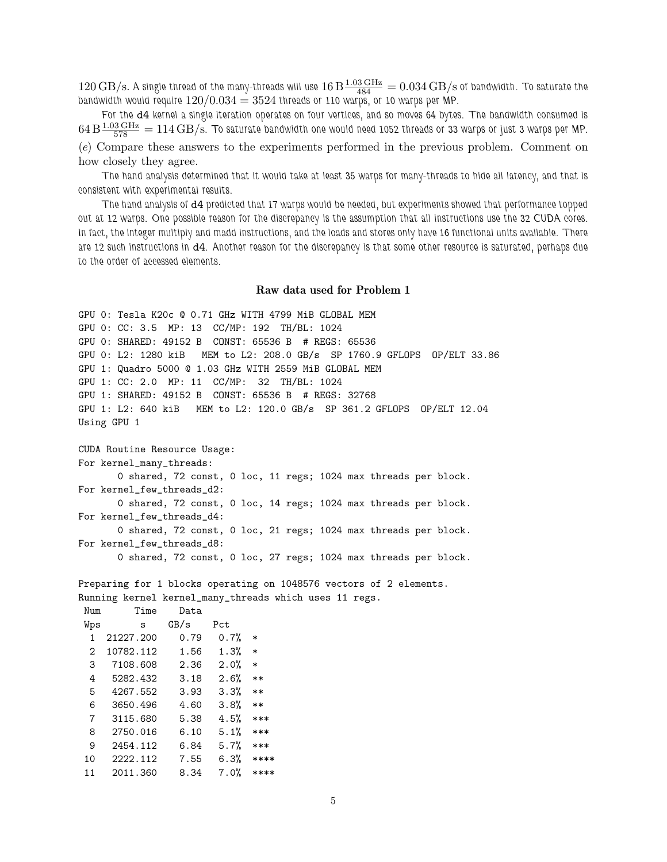$120\,\rm{GB/s}.$  A single thread of the many-threads will use  $16\,\rm{B}\frac{1.03\,\rm{GHz}}{484} = 0.034\,\rm{GB/s}$  of bandwidth. To saturate the bandwidth would require  $120/0.034 = 3524$  threads or 110 warps, or 10 warps per MP.

For the d4 kernel a single iteration operates on four vertices, and so moves 64 bytes. The bandwidth consumed is  $64\,\rm B\frac{1.03\,\rm GHz}{578}=114\,\rm GB/s$ . To saturate bandwidth one would need 1052 threads or 33 warps or just 3 warps per MP. (e) Compare these answers to the experiments performed in the previous problem. Comment on how closely they agree.

The hand analysis determined that it would take at least 35 warps for many-threads to hide all latency, and that is consistent with experimental results.

The hand analysis of d4 predicted that 17 warps would be needed, but experiments showed that performance topped out at 12 warps. One possible reason for the discrepancy is the assumption that all instructions use the 32 CUDA cores. In fact, the integer multiply and madd instructions, and the loads and stores only have 16 functional units available. There are 12 such instructions in d4. Another reason for the discrepancy is that some other resource is saturated, perhaps due to the order of accessed elements.

## Raw data used for Problem 1

```
GPU 0: Tesla K20c @ 0.71 GHz WITH 4799 MiB GLOBAL MEM
GPU 0: CC: 3.5 MP: 13 CC/MP: 192 TH/BL: 1024
GPU 0: SHARED: 49152 B CONST: 65536 B # REGS: 65536
GPU 0: L2: 1280 kiB MEM to L2: 208.0 GB/s SP 1760.9 GFLOPS OP/ELT 33.86
GPU 1: Quadro 5000 @ 1.03 GHz WITH 2559 MiB GLOBAL MEM
GPU 1: CC: 2.0 MP: 11 CC/MP: 32 TH/BL: 1024
GPU 1: SHARED: 49152 B CONST: 65536 B # REGS: 32768
GPU 1: L2: 640 kiB MEM to L2: 120.0 GB/s SP 361.2 GFLOPS OP/ELT 12.04
Using GPU 1
CUDA Routine Resource Usage:
For kernel_many_threads:
```
0 shared, 72 const, 0 loc, 11 regs; 1024 max threads per block. For kernel\_few\_threads\_d2: 0 shared, 72 const, 0 loc, 14 regs; 1024 max threads per block. For kernel\_few\_threads\_d4: 0 shared, 72 const, 0 loc, 21 regs; 1024 max threads per block. For kernel\_few\_threads\_d8:

0 shared, 72 const, 0 loc, 27 regs; 1024 max threads per block.

Preparing for 1 blocks operating on 1048576 vectors of 2 elements. Running kernel kernel\_many\_threads which uses 11 regs.

| Num | Time      | Data |      |        |
|-----|-----------|------|------|--------|
| Wps | S         | GB/s | Pct  |        |
| 1   | 21227.200 | 0.79 | 0.7% | $\ast$ |
| 2   | 10782.112 | 1.56 | 1.3% | $\ast$ |
| 3   | 7108.608  | 2.36 | 2.0% | $\ast$ |
| 4   | 5282.432  | 3.18 | 2.6% | **     |
| 5   | 4267.552  | 3.93 | 3.3% | $**$   |
| 6   | 3650.496  | 4.60 | 3.8% | **     |
| 7   | 3115.680  | 5.38 | 4.5% | ***    |
| 8   | 2750.016  | 6.10 | 5.1% | ***    |
| 9   | 2454.112  | 6.84 | 5.7% | ***    |
| 10  | 2222.112  | 7.55 | 6.3% | ****   |
| 11  | 2011.360  | 8.34 | 7.0% | ****   |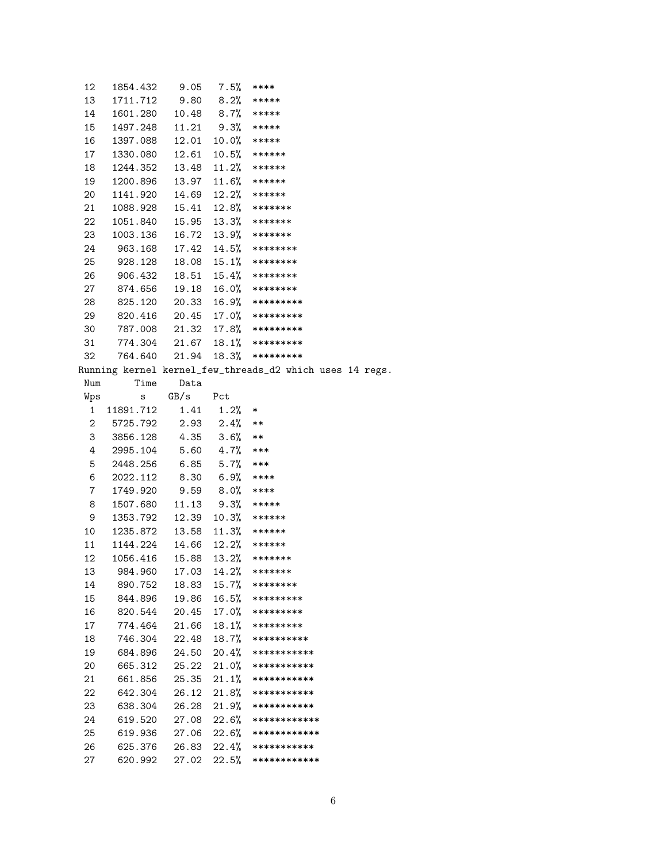| 12 | 1854.432 | 9.05  | 7.5%    | ****      |
|----|----------|-------|---------|-----------|
| 13 | 1711.712 | 9.80  | 8.2%    | *****     |
| 14 | 1601.280 | 10.48 | $8.7\%$ | *****     |
| 15 | 1497.248 | 11.21 | 9.3%    | *****     |
| 16 | 1397.088 | 12.01 | 10.0%   | *****     |
| 17 | 1330.080 | 12.61 | 10.5%   | ******    |
| 18 | 1244.352 | 13.48 | 11.2%   | ******    |
| 19 | 1200.896 | 13.97 | 11.6%   | ******    |
| 20 | 1141.920 | 14.69 | 12.2%   | ******    |
| 21 | 1088.928 | 15.41 | 12.8%   | *******   |
| 22 | 1051.840 | 15.95 | 13.3%   | *******   |
| 23 | 1003.136 | 16.72 | 13.9%   | *******   |
| 24 | 963.168  | 17.42 | 14.5%   | ********  |
| 25 | 928.128  | 18.08 | 15.1%   | ********  |
| 26 | 906.432  | 18.51 | 15.4%   | ********  |
| 27 | 874.656  | 19.18 | 16.0%   | ********  |
| 28 | 825.120  | 20.33 | 16.9%   | ********* |
| 29 | 820.416  | 20.45 | 17.0%   | ********* |
| 30 | 787.008  | 21.32 | 17.8%   | ********* |
| 31 | 774.304  | 21.67 | 18.1%   | ********* |
| 32 | 764.640  | 21.94 | 18.3%   | ********* |

Running kernel kernel\_few\_threads\_d2 which uses 14 regs.

| Num | Time      | Data  |             |                      |
|-----|-----------|-------|-------------|----------------------|
| Wps | S         | GB/s  | Pct         |                      |
| 1   | 11891.712 | 1.41  | 1.2%        | $\ast$               |
| 2   | 5725.792  | 2.93  | 2.4%        | $***$                |
| 3   | 3856.128  | 4.35  | $3.6\%$     | $***$                |
| 4   | 2995.104  | 5.60  | 4.7%        | ***                  |
| 5   | 2448.256  | 6.85  | $5.7\%$     | $***$                |
| 6   | 2022.112  | 8.30  | $6.9%$ **** |                      |
| 7   | 1749.920  | 9.59  | $8.0%$ **** |                      |
| 8   | 1507.680  | 11.13 |             | $9.3%$ *****         |
| 9   | 1353.792  | 12.39 |             | $10.3%$ ******       |
| 10  | 1235.872  | 13.58 |             | $11.3%$ ******       |
| 11  | 1144.224  | 14.66 |             | $12.2%$ ******       |
| 12  | 1056.416  | 15.88 |             | $13.2%$ *******      |
| 13  | 984.960   | 17.03 |             | $14.2%$ *******      |
| 14  | 890.752   | 18.83 |             | $15.7%$ ********     |
| 15  | 844.896   | 19.86 |             | $16.5%$ *********    |
| 16  | 820.544   | 20.45 |             | $17.0%$ *********    |
| 17  | 774.464   | 21.66 |             | $18.1%$ *********    |
| 18  | 746.304   | 22.48 |             | $18.7%$ **********   |
| 19  | 684.896   | 24.50 |             | 20.4% ************   |
| 20  | 665.312   | 25.22 |             | $21.0\%$ *********** |
| 21  | 661.856   | 25.35 |             | $21.1\%$ *********** |
| 22  | 642.304   | 26.12 |             | $21.8\%$ *********** |
| 23  | 638.304   | 26.28 |             | $21.9%$ ***********  |
| 24  | 619.520   | 27.08 | 22.6%       | ************         |
| 25  | 619.936   | 27.06 | 22.6%       | ************         |
| 26  | 625.376   | 26.83 |             | $22.4%$ ***********  |
| 27  | 620.992   | 27.02 | 22.5%       | ************         |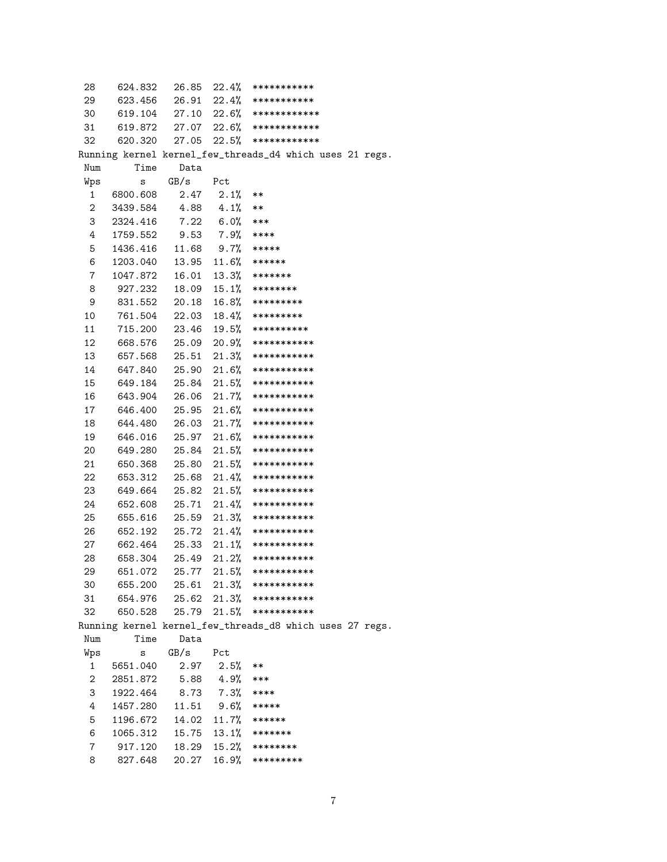| 28             | 624.832                      |                    |                 | $26.85$ $22.4\%$ ************                            |
|----------------|------------------------------|--------------------|-----------------|----------------------------------------------------------|
| 29             |                              |                    |                 | 623.456 26.91 22.4% ************                         |
|                |                              |                    |                 | 30 619.104 27.10 22.6% *************                     |
|                |                              |                    |                 | 31 619.872 27.07 22.6% *************                     |
| 32             |                              |                    |                 | 620.320 27.05 22.5% ************                         |
|                |                              |                    |                 | Running kernel kernel_few_threads_d4 which uses 21 regs. |
| Num            | Time                         | Data               |                 |                                                          |
| Wps            | s                            | GB/s               | Pct             |                                                          |
| 1              | 6800.608                     |                    | $2.47$ $2.1%$   | $***$                                                    |
| $\overline{2}$ | 3439.584                     | $4.88$ $4.1%$ **   |                 |                                                          |
| 3              | 2324.416                     |                    | $7.22$ 6.0% *** |                                                          |
| 4              | 1759.552                     | $9.53$ $7.9%$ **** |                 |                                                          |
| 5              | 1436.416  11.68  9.7%  ***** |                    |                 |                                                          |
| 6              |                              |                    |                 |                                                          |
| $7\phantom{.}$ | 1047.872                     | 16.01              |                 | $13.3%$ *******                                          |
| 8              | 927.232                      |                    |                 | $18.09$ $15.1%$ ********                                 |
| 9              | 831.552                      | 20.18              |                 | $16.8\%$ *********                                       |
| 10             | 761.504                      |                    |                 | $22.03$ $18.4%$ *********                                |
| 11             | 715.200                      |                    |                 | $23.46$ $19.5%$ **********                               |
| 12             | 668.576                      |                    |                 | 25.09 20.9% ***********                                  |
| 13             | 657.568                      |                    |                 | $25.51$ $21.3\%$ ************                            |
| 14             |                              |                    |                 | 647.840 25.90 21.6% ***********                          |
| 15             |                              |                    |                 | 649.184 25.84 21.5% ************                         |
| 16             | 643.904                      |                    |                 | 26.06 21.7% ***********                                  |
| 17             | 646.400                      |                    |                 | 25.95 21.6% ************                                 |
| 18             | 644.480                      |                    |                 | 26.03 21.7% ************                                 |
| 19             | 646.016                      |                    |                 | 25.97 21.6% ***********                                  |
| 20             | 649.280                      | 25.84              |                 | $21.5%$ ************                                     |
| 21             | 650.368                      |                    |                 | 25.80 21.5% ************                                 |
| 22             | 653.312                      | 25.68              |                 | $21.4\%$ ************                                    |
| 23             | 649.664                      | 25.82              |                 | $21.5%$ ************                                     |
| 24             | 652.608                      | 25.71              |                 | $21.4\%$ ************                                    |
| 25             | 655.616                      |                    |                 | $25.59$ $21.3\%$ ***********                             |
| 26             | 652.192                      |                    |                 | $25.72$ $21.4\%$ ************                            |
| 27             |                              |                    |                 | 662.464 25.33 21.1% ***********                          |
| 28             | 658.304                      |                    |                 | $25.49$ $21.2%$ ***********                              |
| 29             | 651.072                      | 25.77              | 21.5%           | ***********                                              |
| 30             | 655.200                      | 25.61              | 21.3%           | ***********                                              |
| 31             | 654.976                      | 25.62              | 21.3%           | ***********                                              |
| 32             | 650.528                      | 25.79              | 21.5%           | ***********                                              |
|                |                              |                    |                 | Running kernel kernel_few_threads_d8 which uses 27 regs. |
| Num            | Time                         | Data               |                 |                                                          |
| Wps            | S                            | GB/s               | Pct             |                                                          |
| 1              | 5651.040                     | 2.97               | 2.5%            | $***$                                                    |
| 2              | 2851.872                     | 5.88               | 4.9%            | ***                                                      |
| 3              | 1922.464                     | 8.73               | 7.3%            | ****                                                     |
| 4              | 1457.280                     | 11.51              | $9.6\%$         | *****                                                    |
| 5              | 1196.672                     | 14.02              | 11.7%           | ******                                                   |
| 6              | 1065.312                     | 15.75              |                 | $13.1%$ *******                                          |
| 7              | 917.120                      | 18.29              | 15.2%           | ********                                                 |
| 8              | 827.648                      | 20.27              | 16.9%           | *********                                                |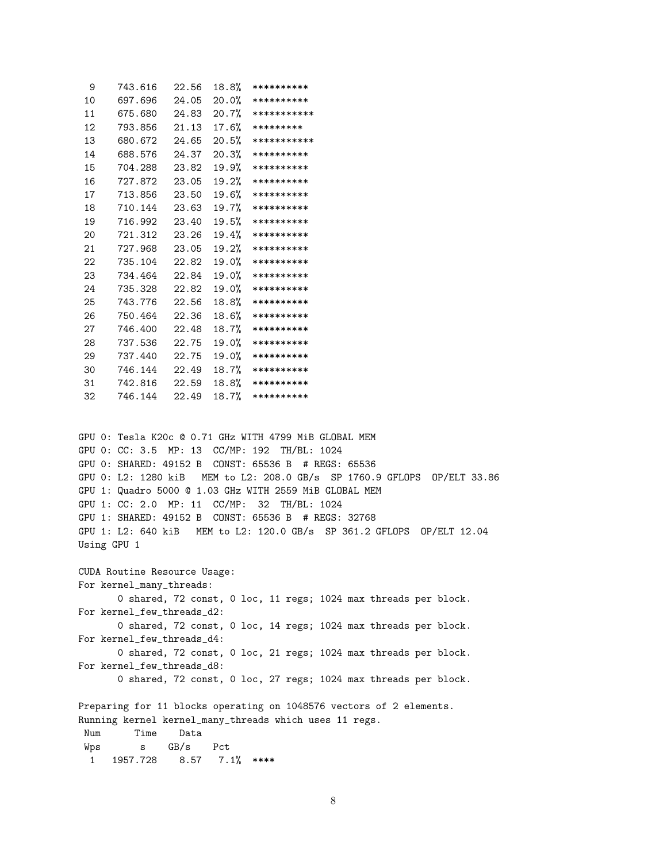| 9  | 743.616 | 22.56 | 18.8% | **********  |
|----|---------|-------|-------|-------------|
| 10 | 697.696 | 24.05 | 20.0% | **********  |
| 11 | 675.680 | 24.83 | 20.7% | *********** |
| 12 | 793.856 | 21.13 | 17.6% | *********   |
| 13 | 680.672 | 24.65 | 20.5% | *********** |
| 14 | 688.576 | 24.37 | 20.3% | **********  |
| 15 | 704.288 | 23.82 | 19.9% | **********  |
| 16 | 727.872 | 23.05 | 19.2% | **********  |
| 17 | 713.856 | 23.50 | 19.6% | **********  |
| 18 | 710.144 | 23.63 | 19.7% | **********  |
| 19 | 716.992 | 23.40 | 19.5% | **********  |
| 20 | 721.312 | 23.26 | 19.4% | **********  |
| 21 | 727.968 | 23.05 | 19.2% | **********  |
| 22 | 735.104 | 22.82 | 19.0% | **********  |
| 23 | 734.464 | 22.84 | 19.0% | **********  |
| 24 | 735.328 | 22.82 | 19.0% | **********  |
| 25 | 743.776 | 22.56 | 18.8% | **********  |
| 26 | 750.464 | 22.36 | 18.6% | **********  |
| 27 | 746.400 | 22.48 | 18.7% | **********  |
| 28 | 737.536 | 22.75 | 19.0% | **********  |
| 29 | 737.440 | 22.75 | 19.0% | **********  |
| 30 | 746.144 | 22.49 | 18.7% | **********  |
| 31 | 742.816 | 22.59 | 18.8% | **********  |
| 32 | 746.144 | 22.49 | 18.7% | **********  |

GPU 0: Tesla K20c @ 0.71 GHz WITH 4799 MiB GLOBAL MEM GPU 0: CC: 3.5 MP: 13 CC/MP: 192 TH/BL: 1024 GPU 0: SHARED: 49152 B CONST: 65536 B # REGS: 65536 GPU 0: L2: 1280 kiB MEM to L2: 208.0 GB/s SP 1760.9 GFLOPS OP/ELT 33.86 GPU 1: Quadro 5000 @ 1.03 GHz WITH 2559 MiB GLOBAL MEM GPU 1: CC: 2.0 MP: 11 CC/MP: 32 TH/BL: 1024 GPU 1: SHARED: 49152 B CONST: 65536 B # REGS: 32768 GPU 1: L2: 640 kiB MEM to L2: 120.0 GB/s SP 361.2 GFLOPS OP/ELT 12.04 Using GPU 1

CUDA Routine Resource Usage: For kernel\_many\_threads: 0 shared, 72 const, 0 loc, 11 regs; 1024 max threads per block. For kernel\_few\_threads\_d2: 0 shared, 72 const, 0 loc, 14 regs; 1024 max threads per block. For kernel\_few\_threads\_d4: 0 shared, 72 const, 0 loc, 21 regs; 1024 max threads per block. For kernel\_few\_threads\_d8: 0 shared, 72 const, 0 loc, 27 regs; 1024 max threads per block.

Preparing for 11 blocks operating on 1048576 vectors of 2 elements. Running kernel kernel\_many\_threads which uses 11 regs. Num Time Data Wps s GB/s Pct 1 1957.728 8.57 7.1% \*\*\*\*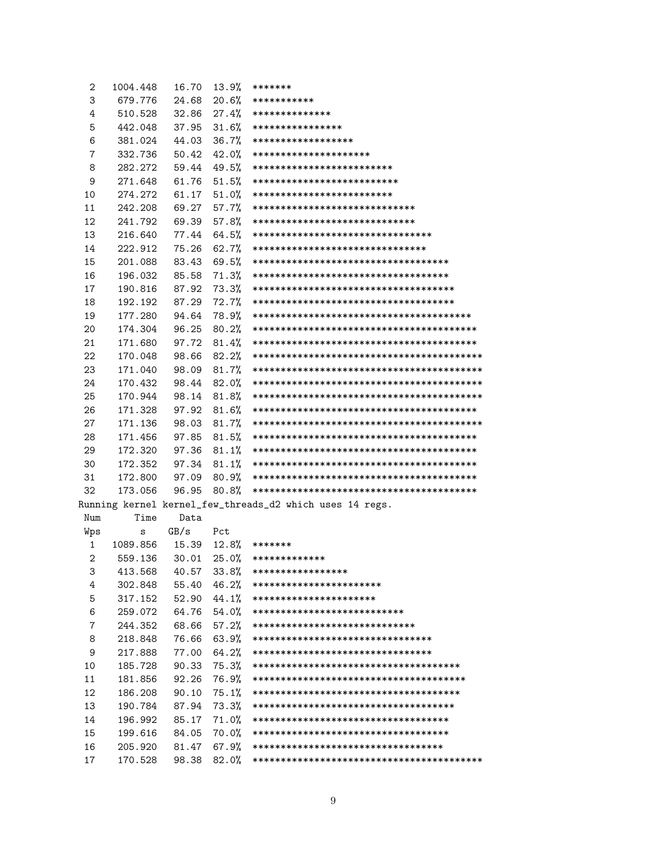| 2   | 1004.448 | 16.70 | 13.9% | *******                                                  |
|-----|----------|-------|-------|----------------------------------------------------------|
| 3   | 679.776  | 24.68 | 20.6% | ***********                                              |
| 4   | 510.528  | 32.86 | 27.4% | **************                                           |
| 5   | 442.048  | 37.95 | 31.6% | ****************                                         |
| 6   | 381.024  | 44.03 | 36.7% | ******************                                       |
| 7   | 332.736  | 50.42 | 42.0% | *********************                                    |
| 8   | 282.272  | 59.44 | 49.5% | *************************                                |
| 9   | 271.648  | 61.76 | 51.5% | **************************                               |
| 10  | 274.272  | 61.17 | 51.0% | *************************                                |
| 11  | 242.208  | 69.27 | 57.7% | *****************************                            |
| 12  | 241.792  | 69.39 | 57.8% | *****************************                            |
| 13  | 216.640  | 77.44 | 64.5% | ********************************                         |
| 14  | 222.912  | 75.26 | 62.7% | *******************************                          |
| 15  | 201.088  | 83.43 | 69.5% | ************************************                     |
| 16  | 196.032  | 85.58 | 71.3% | ************************************                     |
| 17  | 190.816  | 87.92 | 73.3% | *************************************                    |
| 18  | 192.192  | 87.29 | 72.7% | *************************************                    |
| 19  | 177.280  | 94.64 | 78.9% |                                                          |
| 20  | 174.304  | 96.25 | 80.2% |                                                          |
| 21  | 171.680  | 97.72 | 81.4% |                                                          |
| 22  | 170.048  | 98.66 | 82.2% |                                                          |
| 23  | 171.040  | 98.09 | 81.7% |                                                          |
| 24  | 170.432  | 98.44 | 82.0% |                                                          |
| 25  | 170.944  | 98.14 | 81.8% |                                                          |
| 26  | 171.328  | 97.92 | 81.6% |                                                          |
| 27  | 171.136  | 98.03 | 81.7% |                                                          |
| 28  | 171.456  | 97.85 | 81.5% |                                                          |
| 29  | 172.320  | 97.36 | 81.1% |                                                          |
| 30  | 172.352  | 97.34 | 81.1% |                                                          |
| 31  | 172.800  | 97.09 | 80.9% |                                                          |
| 32  | 173.056  | 96.95 | 80.8% |                                                          |
|     |          |       |       | Running kernel kernel_few_threads_d2 which uses 14 regs. |
| Num | Time     | Data  |       |                                                          |
| Wps | S        | GB/s  | Pct   |                                                          |
| 1   | 1089.856 | 15.39 | 12.8% | *******                                                  |
| 2   | 559.136  | 30.01 | 25.0% | *************                                            |
| 3   | 413.568  | 40.57 | 33.8% | *****************                                        |
| 4   | 302.848  | 55.40 | 46.2% | ***********************                                  |
| 5   | 317.152  | 52.90 | 44.1% | **********************                                   |
| 6   | 259.072  | 64.76 | 54.0% | ***************************                              |
| 7   | 244.352  | 68.66 | 57.2% | *****************************                            |
| 8   | 218.848  | 76.66 | 63.9% | ********************************                         |
| 9   | 217.888  | 77.00 | 64.2% | ********************************                         |
| 10  | 185.728  | 90.33 | 75.3% | **************************************                   |
| 11  | 181.856  | 92.26 | 76.9% |                                                          |
| 12  | 186.208  | 90.10 | 75.1% | **************************************                   |
| 13  | 190.784  | 87.94 | 73.3% | *************************************                    |
| 14  | 196.992  | 85.17 | 71.0% | ************************************                     |
| 15  | 199.616  | 84.05 | 70.0% | ************************************                     |
| 16  | 205.920  | 81.47 | 67.9% | ***********************************                      |
| 17  | 170.528  | 98.38 | 82.0% |                                                          |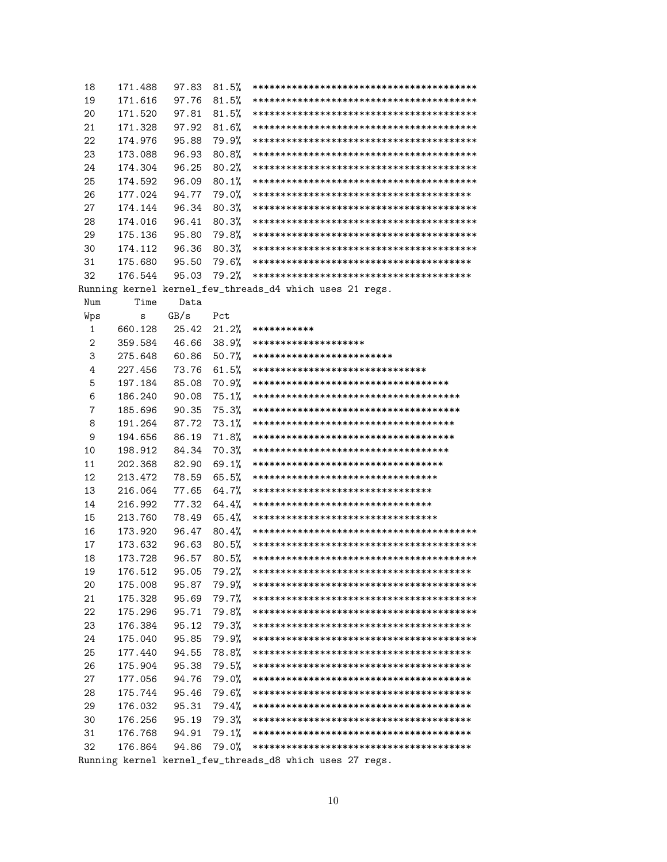| 18           | 171.488 | 97.83 | 81.5% |                                                          |
|--------------|---------|-------|-------|----------------------------------------------------------|
| 19           | 171.616 | 97.76 | 81.5% |                                                          |
| 20           | 171.520 | 97.81 | 81.5% |                                                          |
| 21           | 171.328 | 97.92 | 81.6% |                                                          |
| 22           | 174.976 | 95.88 | 79.9% |                                                          |
| 23           | 173.088 | 96.93 | 80.8% |                                                          |
| 24           | 174.304 | 96.25 | 80.2% |                                                          |
| 25           | 174.592 | 96.09 | 80.1% |                                                          |
| 26           | 177.024 | 94.77 | 79.0% |                                                          |
| 27           | 174.144 | 96.34 | 80.3% |                                                          |
| 28           | 174.016 | 96.41 | 80.3% |                                                          |
| 29           | 175.136 | 95.80 | 79.8% |                                                          |
| 30           | 174.112 | 96.36 | 80.3% |                                                          |
| 31           | 175.680 | 95.50 | 79.6% |                                                          |
| 32           | 176.544 | 95.03 | 79.2% |                                                          |
|              |         |       |       | Running kernel kernel_few_threads_d4 which uses 21 regs. |
| Num          | Time    | Data  |       |                                                          |
| Wps          | s       | GB/s  | Pct   |                                                          |
| $\mathbf{1}$ | 660.128 | 25.42 | 21.2% | ***********                                              |
| $\mathbf{2}$ | 359.584 | 46.66 | 38.9% | ********************                                     |
| 3            | 275.648 | 60.86 | 50.7% | *************************                                |
| 4            | 227.456 | 73.76 | 61.5% | *******************************                          |
| 5            | 197.184 | 85.08 | 70.9% | ************************************                     |
| 6            | 186.240 | 90.08 | 75.1% |                                                          |
| 7            | 185.696 | 90.35 | 75.3% | **************************************                   |
| 8            | 191.264 | 87.72 | 73.1% | *************************************                    |
| 9            | 194.656 | 86.19 | 71.8% | *************************************                    |
| 10           | 198.912 | 84.34 | 70.3% | ************************************                     |
| 11           | 202.368 | 82.90 | 69.1% | ***********************************                      |
| 12           | 213.472 | 78.59 | 65.5% | *********************************                        |
| 13           | 216.064 | 77.65 | 64.7% | ********************************                         |
| 14           | 216.992 | 77.32 | 64.4% | ********************************                         |
| 15           | 213.760 | 78.49 | 65.4% | **********************************                       |
| 16           | 173.920 | 96.47 | 80.4% |                                                          |
| 17           | 173.632 | 96.63 | 80.5% |                                                          |
| 18           | 173.728 | 96.57 | 80.5% |                                                          |
| 19           | 176.512 | 95.05 | 79.2% |                                                          |
| 20           | 175.008 | 95.87 | 79.9% |                                                          |
| 21           | 175.328 | 95.69 | 79.7% |                                                          |
| 22           | 175.296 | 95.71 | 79.8% |                                                          |
| 23           | 176.384 | 95.12 | 79.3% |                                                          |
| 24           | 175.040 | 95.85 | 79.9% |                                                          |
| 25           | 177.440 | 94.55 | 78.8% |                                                          |
| 26           | 175.904 | 95.38 | 79.5% |                                                          |
| 27           | 177.056 | 94.76 | 79.0% |                                                          |
| 28           | 175.744 | 95.46 | 79.6% |                                                          |
| 29           | 176.032 | 95.31 | 79.4% |                                                          |
| 30           | 176.256 | 95.19 | 79.3% |                                                          |
| 31           | 176.768 | 94.91 | 79.1% |                                                          |
| 32           | 176.864 | 94.86 | 79.0% |                                                          |
|              |         |       |       | Running kernel kernel_few_threads_d8 which uses 27 regs. |